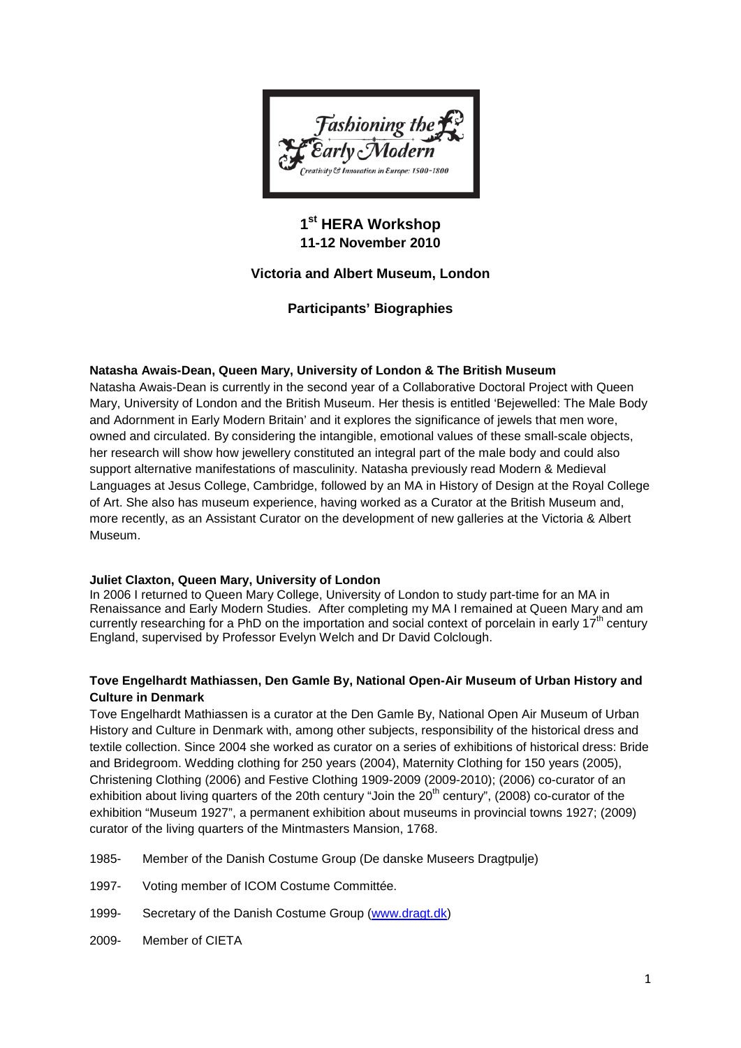

# **1st HERA Workshop 11-12 November 2010**

# **Victoria and Albert Museum, London**

# **Participants' Biographies**

# **Natasha Awais-Dean, Queen Mary, University of London & The British Museum**

Natasha Awais-Dean is currently in the second year of a Collaborative Doctoral Project with Queen Mary, University of London and the British Museum. Her thesis is entitled 'Bejewelled: The Male Body and Adornment in Early Modern Britain' and it explores the significance of jewels that men wore, owned and circulated. By considering the intangible, emotional values of these small-scale objects, her research will show how jewellery constituted an integral part of the male body and could also support alternative manifestations of masculinity. Natasha previously read Modern & Medieval Languages at Jesus College, Cambridge, followed by an MA in History of Design at the Royal College of Art. She also has museum experience, having worked as a Curator at the British Museum and, more recently, as an Assistant Curator on the development of new galleries at the Victoria & Albert Museum.

# **Juliet Claxton, Queen Mary, University of London**

In 2006 I returned to Queen Mary College, University of London to study part-time for an MA in Renaissance and Early Modern Studies. After completing my MA I remained at Queen Mary and am currently researching for a PhD on the importation and social context of porcelain in early  $17<sup>th</sup>$  century England, supervised by Professor Evelyn Welch and Dr David Colclough.

# **Tove Engelhardt Mathiassen, Den Gamle By, National Open-Air Museum of Urban History and Culture in Denmark**

Tove Engelhardt Mathiassen is a curator at the Den Gamle By, National Open Air Museum of Urban History and Culture in Denmark with, among other subjects, responsibility of the historical dress and textile collection. Since 2004 she worked as curator on a series of exhibitions of historical dress: Bride and Bridegroom. Wedding clothing for 250 years (2004), Maternity Clothing for 150 years (2005), Christening Clothing (2006) and Festive Clothing 1909-2009 (2009-2010); (2006) co-curator of an exhibition about living quarters of the 20th century "Join the 20<sup>th</sup> century", (2008) co-curator of the exhibition "Museum 1927", a permanent exhibition about museums in provincial towns 1927; (2009) curator of the living quarters of the Mintmasters Mansion, 1768.

- 1985- Member of the Danish Costume Group (De danske Museers Dragtpulje)
- 1997- Voting member of ICOM Costume Committée.
- 1999- Secretary of the Danish Costume Group [\(www.dragt.dk\)](http://www.dragt.dk/)
- 2009- Member of CIETA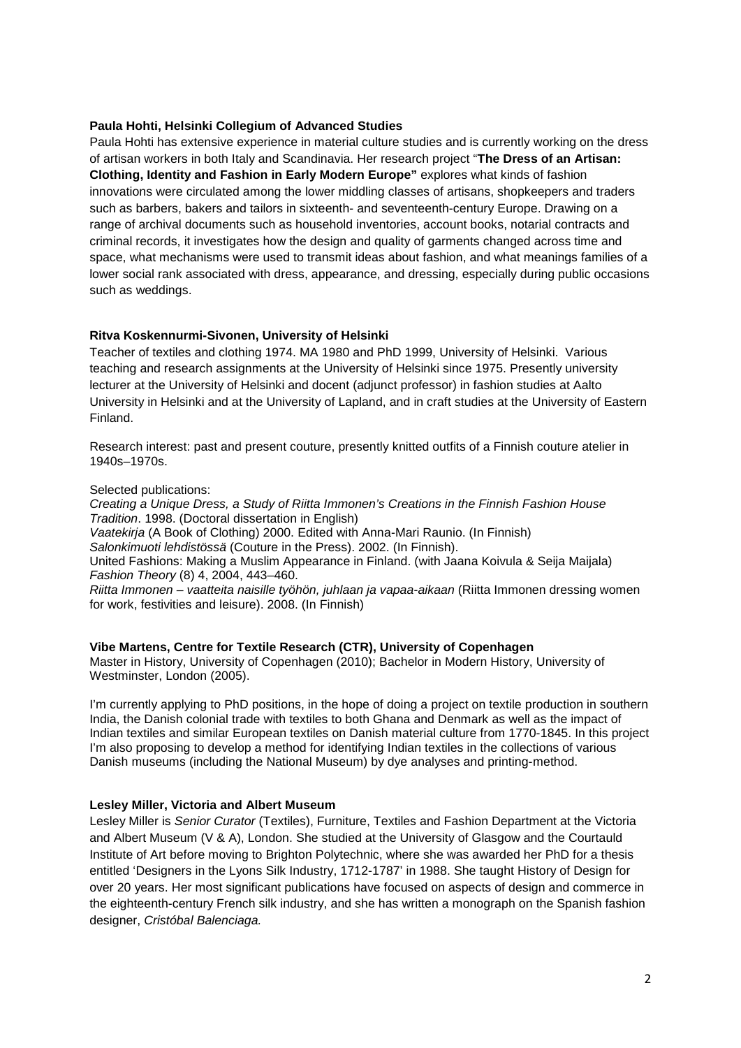### **Paula Hohti, Helsinki Collegium of Advanced Studies**

Paula Hohti has extensive experience in material culture studies and is currently working on the dress of artisan workers in both Italy and Scandinavia. Her research project "**The Dress of an Artisan: Clothing, Identity and Fashion in Early Modern Europe"** explores what kinds of fashion innovations were circulated among the lower middling classes of artisans, shopkeepers and traders such as barbers, bakers and tailors in sixteenth- and seventeenth-century Europe. Drawing on a range of archival documents such as household inventories, account books, notarial contracts and criminal records, it investigates how the design and quality of garments changed across time and space, what mechanisms were used to transmit ideas about fashion, and what meanings families of a lower social rank associated with dress, appearance, and dressing, especially during public occasions such as weddings.

### **Ritva Koskennurmi-Sivonen, University of Helsinki**

Teacher of textiles and clothing 1974. MA 1980 and PhD 1999, University of Helsinki. Various teaching and research assignments at the University of Helsinki since 1975. Presently university lecturer at the University of Helsinki and docent (adjunct professor) in fashion studies at Aalto University in Helsinki and at the University of Lapland, and in craft studies at the University of Eastern Finland.

Research interest: past and present couture, presently knitted outfits of a Finnish couture atelier in 1940s–1970s.

#### Selected publications:

*Creating a Unique Dress, a Study of Riitta Immonen's Creations in the Finnish Fashion House Tradition*. 1998. (Doctoral dissertation in English) *Vaatekirja* (A Book of Clothing) 2000. Edited with Anna-Mari Raunio. (In Finnish) *Salonkimuoti lehdistössä* (Couture in the Press). 2002. (In Finnish). United Fashions: Making a Muslim Appearance in Finland. (with Jaana Koivula & Seija Maijala) *Fashion Theory* (8) 4, 2004, 443–460. *Riitta Immonen – vaatteita naisille työhön, juhlaan ja vapaa-aikaan* (Riitta Immonen dressing women for work, festivities and leisure). 2008. (In Finnish)

# **Vibe Martens, Centre for Textile Research (CTR), University of Copenhagen**

Master in History, University of Copenhagen (2010); Bachelor in Modern History, University of Westminster, London (2005).

I'm currently applying to PhD positions, in the hope of doing a project on textile production in southern India, the Danish colonial trade with textiles to both Ghana and Denmark as well as the impact of Indian textiles and similar European textiles on Danish material culture from 1770-1845. In this project I'm also proposing to develop a method for identifying Indian textiles in the collections of various Danish museums (including the National Museum) by dye analyses and printing-method.

#### **Lesley Miller, Victoria and Albert Museum**

Lesley Miller is *Senior Curator* (Textiles), Furniture, Textiles and Fashion Department at the Victoria and Albert Museum (V & A), London. She studied at the University of Glasgow and the Courtauld Institute of Art before moving to Brighton Polytechnic, where she was awarded her PhD for a thesis entitled 'Designers in the Lyons Silk Industry, 1712-1787' in 1988. She taught History of Design for over 20 years. Her most significant publications have focused on aspects of design and commerce in the eighteenth-century French silk industry, and she has written a monograph on the Spanish fashion designer, *Cristóbal Balenciaga.*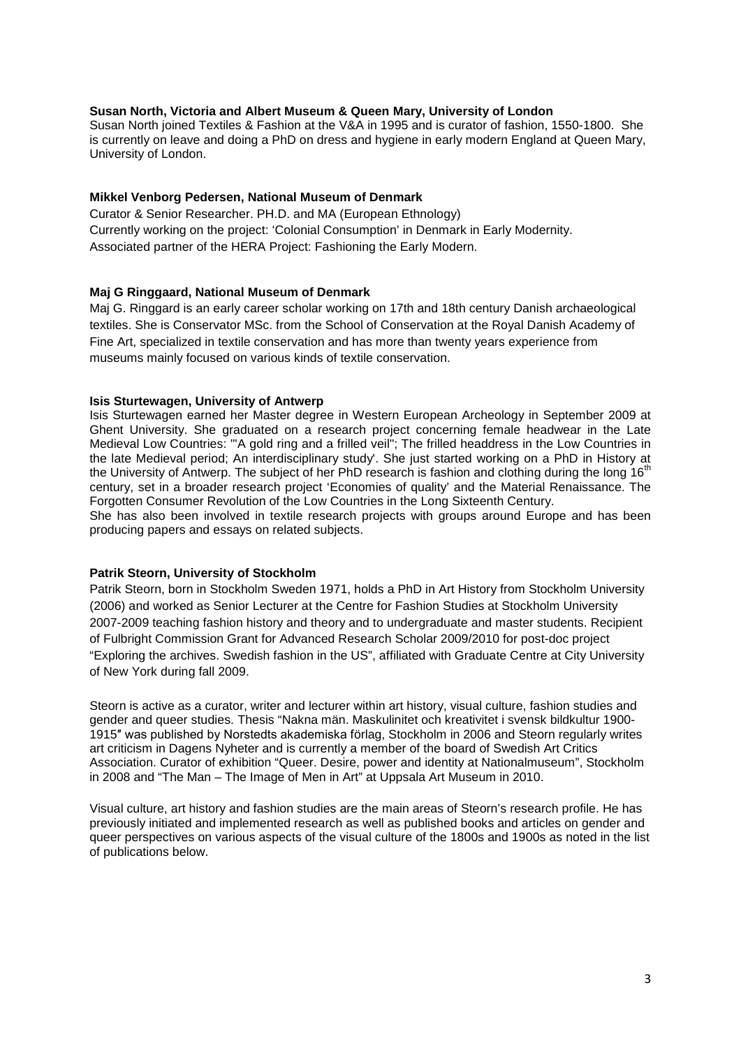#### **Susan North, Victoria and Albert Museum & Queen Mary, University of London**

Susan North joined Textiles & Fashion at the V&A in 1995 and is curator of fashion, 1550-1800. She is currently on leave and doing a PhD on dress and hygiene in early modern England at Queen Mary, University of London.

# **Mikkel Venborg Pedersen, National Museum of Denmark**

Curator & Senior Researcher. PH.D. and MA (European Ethnology) Currently working on the project: 'Colonial Consumption' in Denmark in Early Modernity. Associated partner of the HERA Project: Fashioning the Early Modern.

# **Maj G Ringgaard, National Museum of Denmark**

Maj G. Ringgard is an early career scholar working on 17th and 18th century Danish archaeological textiles. She is Conservator MSc. from the School of Conservation at the Royal Danish Academy of Fine Art, specialized in textile conservation and has more than twenty years experience from museums mainly focused on various kinds of textile conservation.

### **Isis Sturtewagen, University of Antwerp**

Isis Sturtewagen earned her Master degree in Western European Archeology in September 2009 at Ghent University. She graduated on a research project concerning female headwear in the Late Medieval Low Countries: "'A gold ring and a frilled veil"; The frilled headdress in the Low Countries in the late Medieval period; An interdisciplinary study'. She just started working on a PhD in History at the University of Antwerp. The subject of her PhD research is fashion and clothing during the long 16<sup>th</sup> century, set in a broader research project 'Economies of quality' and the Material Renaissance. The Forgotten Consumer Revolution of the Low Countries in the Long Sixteenth Century.

She has also been involved in textile research projects with groups around Europe and has been producing papers and essays on related subjects.

#### **Patrik Steorn, University of Stockholm**

Patrik Steorn, born in Stockholm Sweden 1971, holds a PhD in Art History from Stockholm University (2006) and worked as Senior Lecturer at the Centre for Fashion Studies at Stockholm University 2007-2009 teaching fashion history and theory and to undergraduate and master students. Recipient of Fulbright Commission Grant for Advanced Research Scholar 2009/2010 for post-doc project "Exploring the archives. Swedish fashion in the US", affiliated with Graduate Centre at City University of New York during fall 2009.

Steorn is active as a curator, writer and lecturer within art history, visual culture, fashion studies and gender and queer studies. Thesis "Nakna män. Maskulinitet och kreativitet i svensk bildkultur 1900- 1915″ was published by Norstedts akademiska förlag, Stockholm in 2006 and Steorn regularly writes art criticism in Dagens Nyheter and is currently a member of the board of Swedish Art Critics Association. Curator of exhibition "Queer. Desire, power and identity at Nationalmuseum", Stockholm in 2008 and "The Man – The Image of Men in Art" at Uppsala Art Museum in 2010.

Visual culture, art history and fashion studies are the main areas of Steorn's research profile. He has previously initiated and implemented research as well as published books and articles on gender and queer perspectives on various aspects of the visual culture of the 1800s and 1900s as noted in the list of publications below.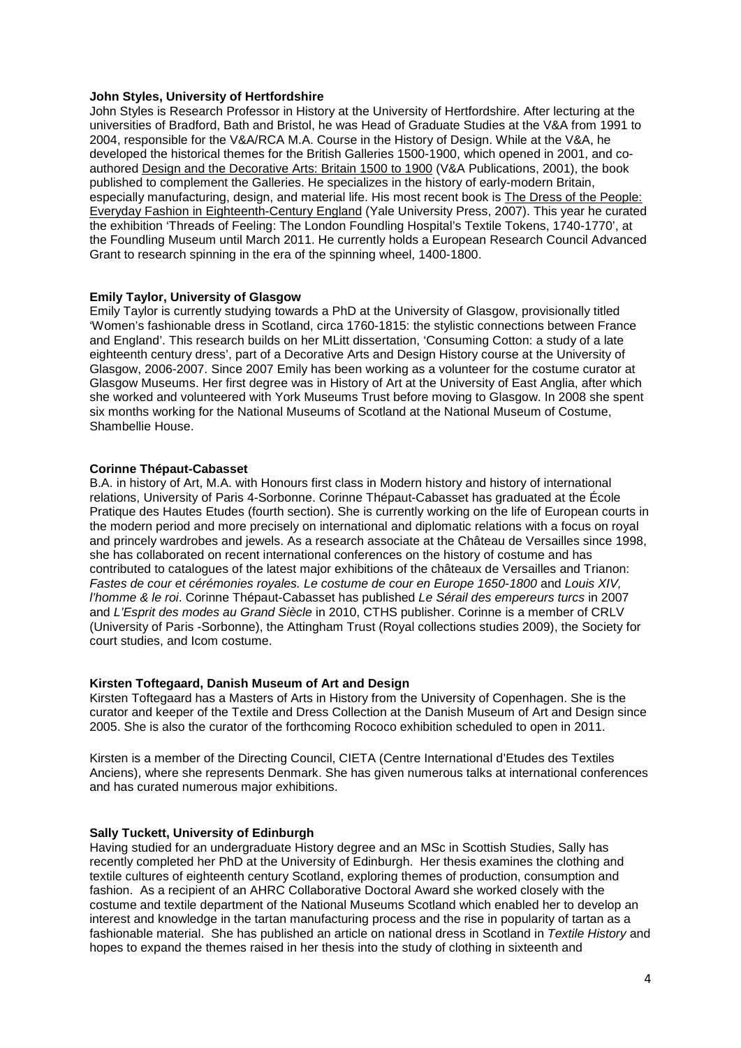#### **John Styles, University of Hertfordshire**

John Styles is Research Professor in History at the University of Hertfordshire. After lecturing at the universities of Bradford, Bath and Bristol, he was Head of Graduate Studies at the V&A from 1991 to 2004, responsible for the V&A/RCA M.A. Course in the History of Design. While at the V&A, he developed the historical themes for the British Galleries 1500-1900, which opened in 2001, and coauthored Design and the Decorative Arts: Britain 1500 to 1900 (V&A Publications, 2001), the book published to complement the Galleries. He specializes in the history of early-modern Britain, especially manufacturing, design, and material life. His most recent book is The Dress of the People: Everyday Fashion in Eighteenth-Century England (Yale University Press, 2007). This year he curated the exhibition 'Threads of Feeling: The London Foundling Hospital's Textile Tokens, 1740-1770', at the Foundling Museum until March 2011. He currently holds a European Research Council Advanced Grant to research spinning in the era of the spinning wheel, 1400-1800.

### **Emily Taylor, University of Glasgow**

Emily Taylor is currently studying towards a PhD at the University of Glasgow, provisionally titled 'Women's fashionable dress in Scotland, circa 1760-1815: the stylistic connections between France and England'. This research builds on her MLitt dissertation, 'Consuming Cotton: a study of a late eighteenth century dress', part of a Decorative Arts and Design History course at the University of Glasgow, 2006-2007. Since 2007 Emily has been working as a volunteer for the costume curator at Glasgow Museums. Her first degree was in History of Art at the University of East Anglia, after which she worked and volunteered with York Museums Trust before moving to Glasgow. In 2008 she spent six months working for the National Museums of Scotland at the National Museum of Costume, Shambellie House.

### **Corinne Thépaut-Cabasset**

B.A. in history of Art, M.A. with Honours first class in Modern history and history of international relations, University of Paris 4-Sorbonne. Corinne Thépaut-Cabasset has graduated at the École Pratique des Hautes Etudes (fourth section). She is currently working on the life of European courts in the modern period and more precisely on international and diplomatic relations with a focus on royal and princely wardrobes and jewels. As a research associate at the Château de Versailles since 1998, she has collaborated on recent international conferences on the history of costume and has contributed to catalogues of the latest major exhibitions of the châteaux de Versailles and Trianon: *Fastes de cour et cérémonies royales. Le costume de cour en Europe 1650-1800* and *Louis XIV, l'homme & le roi*. Corinne Thépaut-Cabasset has published *Le Sérail des empereurs turcs* in 2007 and *L'Esprit des modes au Grand Siècle* in 2010, CTHS publisher. Corinne is a member of CRLV (University of Paris -Sorbonne), the Attingham Trust (Royal collections studies 2009), the Society for court studies, and Icom costume.

#### **Kirsten Toftegaard, Danish Museum of Art and Design**

Kirsten Toftegaard has a Masters of Arts in History from the University of Copenhagen. She is the curator and keeper of the Textile and Dress Collection at the Danish Museum of Art and Design since 2005. She is also the curator of the forthcoming Rococo exhibition scheduled to open in 2011.

Kirsten is a member of the Directing Council, CIETA (Centre International d'Etudes des Textiles Anciens), where she represents Denmark. She has given numerous talks at international conferences and has curated numerous major exhibitions.

# **Sally Tuckett, University of Edinburgh**

Having studied for an undergraduate History degree and an MSc in Scottish Studies, Sally has recently completed her PhD at the University of Edinburgh. Her thesis examines the clothing and textile cultures of eighteenth century Scotland, exploring themes of production, consumption and fashion. As a recipient of an AHRC Collaborative Doctoral Award she worked closely with the costume and textile department of the National Museums Scotland which enabled her to develop an interest and knowledge in the tartan manufacturing process and the rise in popularity of tartan as a fashionable material. She has published an article on national dress in Scotland in *Textile History* and hopes to expand the themes raised in her thesis into the study of clothing in sixteenth and